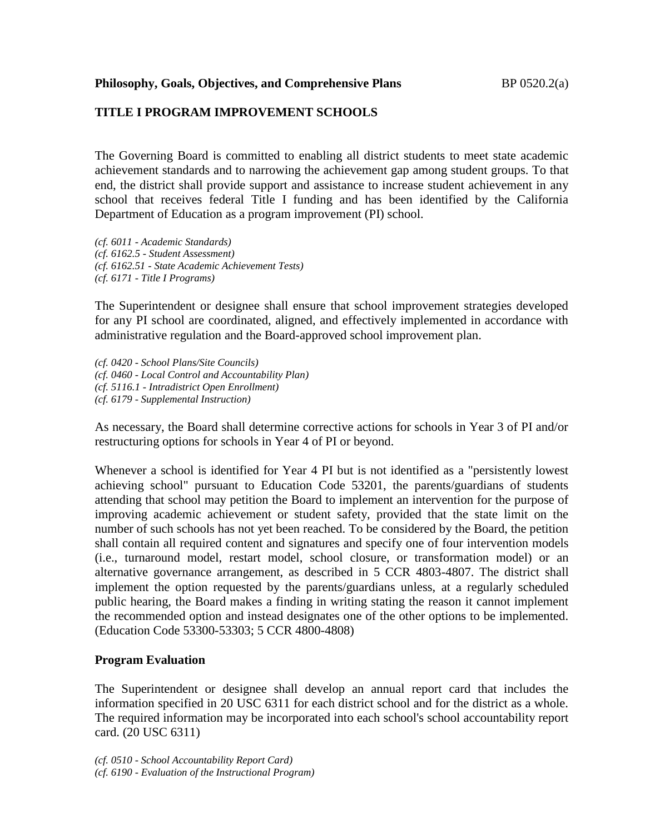### **TITLE I PROGRAM IMPROVEMENT SCHOOLS**

The Governing Board is committed to enabling all district students to meet state academic achievement standards and to narrowing the achievement gap among student groups. To that end, the district shall provide support and assistance to increase student achievement in any school that receives federal Title I funding and has been identified by the California Department of Education as a program improvement (PI) school.

*(cf. 6011 - Academic Standards) (cf. 6162.5 - Student Assessment) (cf. 6162.51 - State Academic Achievement Tests) (cf. 6171 - Title I Programs)*

The Superintendent or designee shall ensure that school improvement strategies developed for any PI school are coordinated, aligned, and effectively implemented in accordance with administrative regulation and the Board-approved school improvement plan.

*(cf. 0420 - School Plans/Site Councils) (cf. 0460 - Local Control and Accountability Plan) (cf. 5116.1 - Intradistrict Open Enrollment) (cf. 6179 - Supplemental Instruction)*

As necessary, the Board shall determine corrective actions for schools in Year 3 of PI and/or restructuring options for schools in Year 4 of PI or beyond.

Whenever a school is identified for Year 4 PI but is not identified as a "persistently lowest achieving school" pursuant to Education Code 53201, the parents/guardians of students attending that school may petition the Board to implement an intervention for the purpose of improving academic achievement or student safety, provided that the state limit on the number of such schools has not yet been reached. To be considered by the Board, the petition shall contain all required content and signatures and specify one of four intervention models (i.e., turnaround model, restart model, school closure, or transformation model) or an alternative governance arrangement, as described in 5 CCR 4803-4807. The district shall implement the option requested by the parents/guardians unless, at a regularly scheduled public hearing, the Board makes a finding in writing stating the reason it cannot implement the recommended option and instead designates one of the other options to be implemented. (Education Code 53300-53303; 5 CCR 4800-4808)

### **Program Evaluation**

The Superintendent or designee shall develop an annual report card that includes the information specified in 20 USC 6311 for each district school and for the district as a whole. The required information may be incorporated into each school's school accountability report card. (20 USC 6311)

*(cf. 0510 - School Accountability Report Card) (cf. 6190 - Evaluation of the Instructional Program)*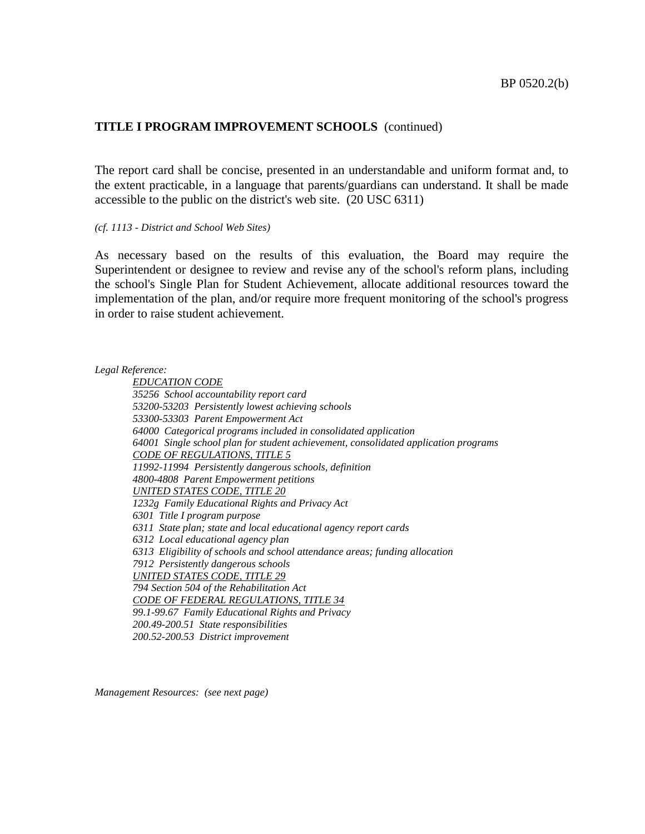#### **TITLE I PROGRAM IMPROVEMENT SCHOOLS** (continued)

The report card shall be concise, presented in an understandable and uniform format and, to the extent practicable, in a language that parents/guardians can understand. It shall be made accessible to the public on the district's web site. (20 USC 6311)

*(cf. 1113 - District and School Web Sites)*

As necessary based on the results of this evaluation, the Board may require the Superintendent or designee to review and revise any of the school's reform plans, including the school's Single Plan for Student Achievement, allocate additional resources toward the implementation of the plan, and/or require more frequent monitoring of the school's progress in order to raise student achievement.

*Legal Reference:*

*EDUCATION CODE 35256 School accountability report card 53200-53203 Persistently lowest achieving schools 53300-53303 Parent Empowerment Act 64000 Categorical programs included in consolidated application 64001 Single school plan for student achievement, consolidated application programs CODE OF REGULATIONS, TITLE 5 11992-11994 Persistently dangerous schools, definition 4800-4808 Parent Empowerment petitions UNITED STATES CODE, TITLE 20 1232g Family Educational Rights and Privacy Act 6301 Title I program purpose 6311 State plan; state and local educational agency report cards 6312 Local educational agency plan 6313 Eligibility of schools and school attendance areas; funding allocation 7912 Persistently dangerous schools UNITED STATES CODE, TITLE 29 794 Section 504 of the Rehabilitation Act CODE OF FEDERAL REGULATIONS, TITLE 34 99.1-99.67 Family Educational Rights and Privacy 200.49-200.51 State responsibilities 200.52-200.53 District improvement*

*Management Resources: (see next page)*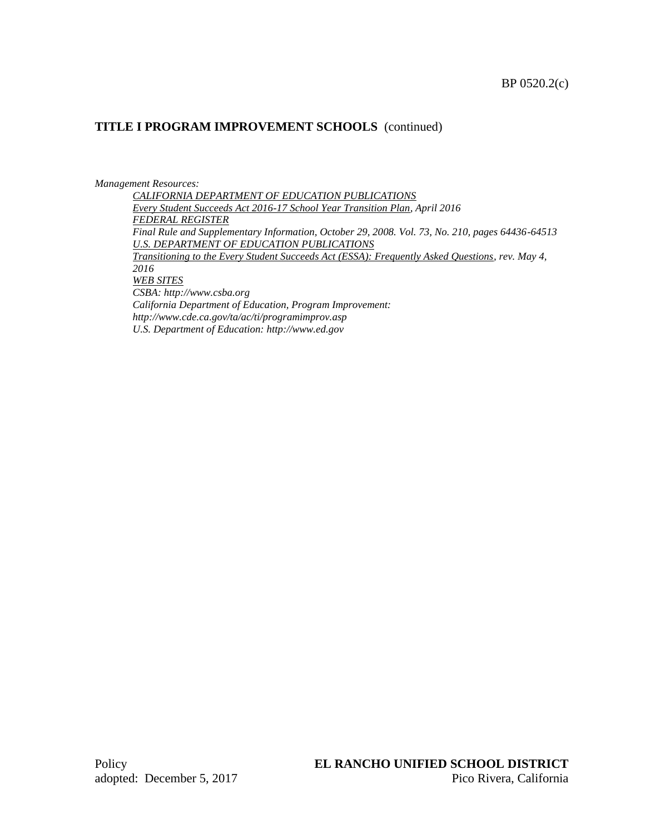#### BP 0520.2(c)

### **TITLE I PROGRAM IMPROVEMENT SCHOOLS** (continued)

#### *Management Resources:*

*CALIFORNIA DEPARTMENT OF EDUCATION PUBLICATIONS Every Student Succeeds Act 2016-17 School Year Transition Plan, April 2016 FEDERAL REGISTER Final Rule and Supplementary Information, October 29, 2008. Vol. 73, No. 210, pages 64436-64513 U.S. DEPARTMENT OF EDUCATION PUBLICATIONS Transitioning to the Every Student Succeeds Act (ESSA): Frequently Asked Questions, rev. May 4, 2016 WEB SITES CSBA: http://www.csba.org California Department of Education, Program Improvement: http://www.cde.ca.gov/ta/ac/ti/programimprov.asp*

*U.S. Department of Education: http://www.ed.gov*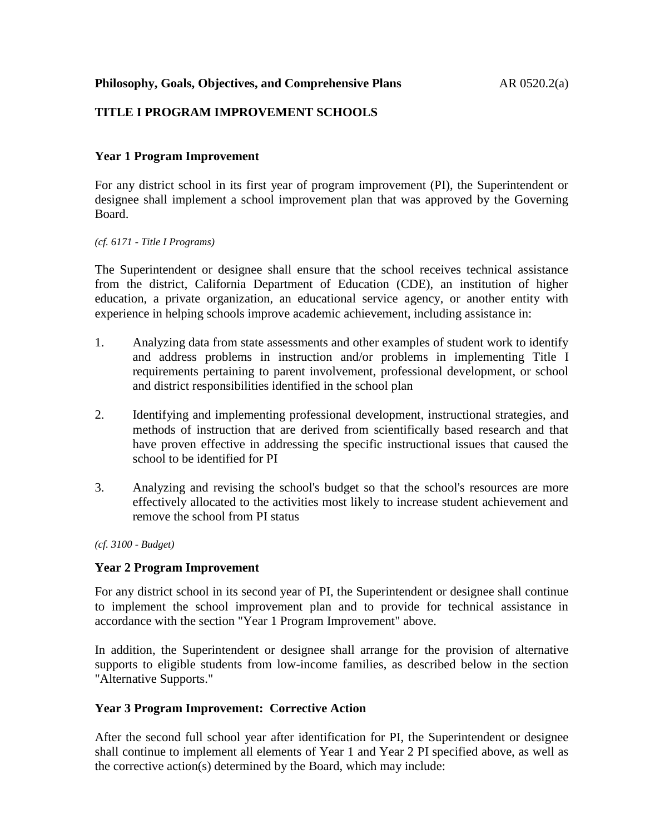# **TITLE I PROGRAM IMPROVEMENT SCHOOLS**

# **Year 1 Program Improvement**

For any district school in its first year of program improvement (PI), the Superintendent or designee shall implement a school improvement plan that was approved by the Governing Board.

#### *(cf. 6171 - Title I Programs)*

The Superintendent or designee shall ensure that the school receives technical assistance from the district, California Department of Education (CDE), an institution of higher education, a private organization, an educational service agency, or another entity with experience in helping schools improve academic achievement, including assistance in:

- 1. Analyzing data from state assessments and other examples of student work to identify and address problems in instruction and/or problems in implementing Title I requirements pertaining to parent involvement, professional development, or school and district responsibilities identified in the school plan
- 2. Identifying and implementing professional development, instructional strategies, and methods of instruction that are derived from scientifically based research and that have proven effective in addressing the specific instructional issues that caused the school to be identified for PI
- 3. Analyzing and revising the school's budget so that the school's resources are more effectively allocated to the activities most likely to increase student achievement and remove the school from PI status

*(cf. 3100 - Budget)*

# **Year 2 Program Improvement**

For any district school in its second year of PI, the Superintendent or designee shall continue to implement the school improvement plan and to provide for technical assistance in accordance with the section "Year 1 Program Improvement" above.

In addition, the Superintendent or designee shall arrange for the provision of alternative supports to eligible students from low-income families, as described below in the section "Alternative Supports."

# **Year 3 Program Improvement: Corrective Action**

After the second full school year after identification for PI, the Superintendent or designee shall continue to implement all elements of Year 1 and Year 2 PI specified above, as well as the corrective action(s) determined by the Board, which may include: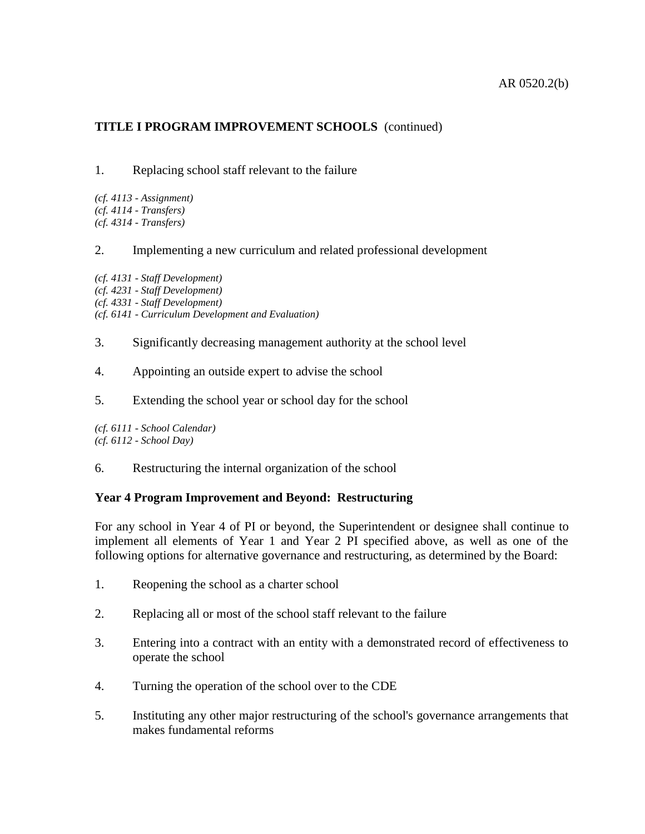### AR 0520.2(b)

### **TITLE I PROGRAM IMPROVEMENT SCHOOLS** (continued)

1. Replacing school staff relevant to the failure

*(cf. 4113 - Assignment) (cf. 4114 - Transfers) (cf. 4314 - Transfers)*

#### 2. Implementing a new curriculum and related professional development

*(cf. 4131 - Staff Development) (cf. 4231 - Staff Development) (cf. 4331 - Staff Development) (cf. 6141 - Curriculum Development and Evaluation)*

- 3. Significantly decreasing management authority at the school level
- 4. Appointing an outside expert to advise the school
- 5. Extending the school year or school day for the school

*(cf. 6111 - School Calendar) (cf. 6112 - School Day)*

6. Restructuring the internal organization of the school

### **Year 4 Program Improvement and Beyond: Restructuring**

For any school in Year 4 of PI or beyond, the Superintendent or designee shall continue to implement all elements of Year 1 and Year 2 PI specified above, as well as one of the following options for alternative governance and restructuring, as determined by the Board:

- 1. Reopening the school as a charter school
- 2. Replacing all or most of the school staff relevant to the failure
- 3. Entering into a contract with an entity with a demonstrated record of effectiveness to operate the school
- 4. Turning the operation of the school over to the CDE
- 5. Instituting any other major restructuring of the school's governance arrangements that makes fundamental reforms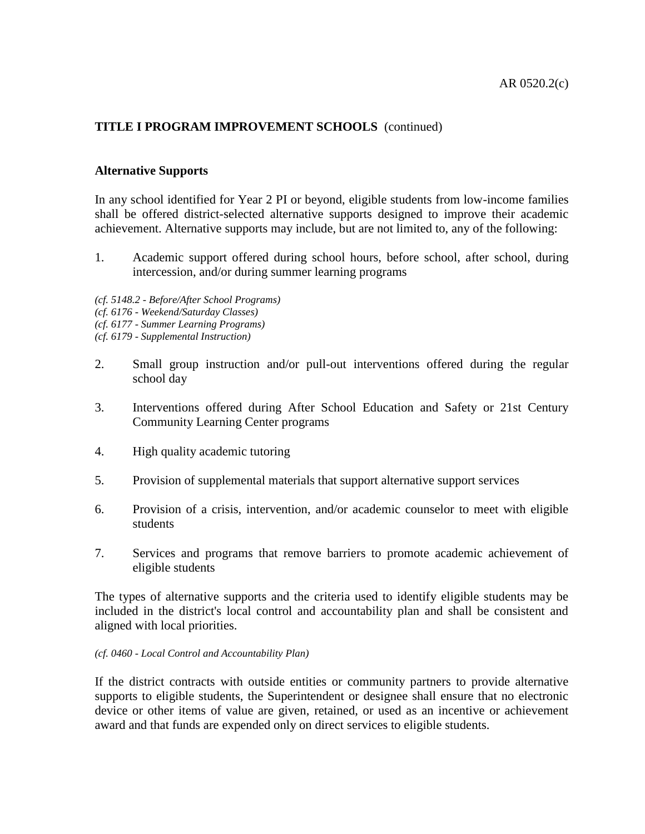# **TITLE I PROGRAM IMPROVEMENT SCHOOLS** (continued)

### **Alternative Supports**

In any school identified for Year 2 PI or beyond, eligible students from low-income families shall be offered district-selected alternative supports designed to improve their academic achievement. Alternative supports may include, but are not limited to, any of the following:

1. Academic support offered during school hours, before school, after school, during intercession, and/or during summer learning programs

*(cf. 5148.2 - Before/After School Programs) (cf. 6176 - Weekend/Saturday Classes)*

*(cf. 6177 - Summer Learning Programs)*

- *(cf. 6179 - Supplemental Instruction)*
- 2. Small group instruction and/or pull-out interventions offered during the regular school day
- 3. Interventions offered during After School Education and Safety or 21st Century Community Learning Center programs
- 4. High quality academic tutoring
- 5. Provision of supplemental materials that support alternative support services
- 6. Provision of a crisis, intervention, and/or academic counselor to meet with eligible students
- 7. Services and programs that remove barriers to promote academic achievement of eligible students

The types of alternative supports and the criteria used to identify eligible students may be included in the district's local control and accountability plan and shall be consistent and aligned with local priorities.

#### *(cf. 0460 - Local Control and Accountability Plan)*

If the district contracts with outside entities or community partners to provide alternative supports to eligible students, the Superintendent or designee shall ensure that no electronic device or other items of value are given, retained, or used as an incentive or achievement award and that funds are expended only on direct services to eligible students.